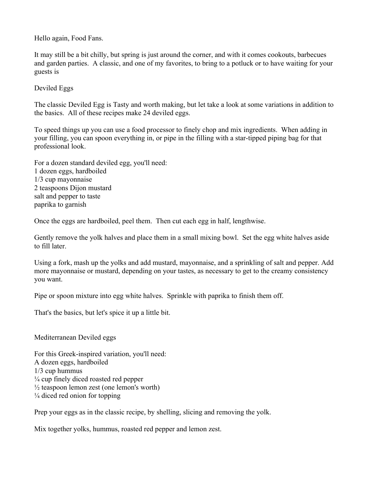Hello again, Food Fans.

It may still be a bit chilly, but spring is just around the corner, and with it comes cookouts, barbecues and garden parties. A classic, and one of my favorites, to bring to a potluck or to have waiting for your guests is

Deviled Eggs

The classic Deviled Egg is Tasty and worth making, but let take a look at some variations in addition to the basics. All of these recipes make 24 deviled eggs.

To speed things up you can use a food processor to finely chop and mix ingredients. When adding in your filling, you can spoon everything in, or pipe in the filling with a star-tipped piping bag for that professional look.

For a dozen standard deviled egg, you'll need: 1 dozen eggs, hardboiled 1/3 cup mayonnaise 2 teaspoons Dijon mustard salt and pepper to taste paprika to garnish

Once the eggs are hardboiled, peel them. Then cut each egg in half, lengthwise.

Gently remove the yolk halves and place them in a small mixing bowl. Set the egg white halves aside to fill later.

Using a fork, mash up the yolks and add mustard, mayonnaise, and a sprinkling of salt and pepper. Add more mayonnaise or mustard, depending on your tastes, as necessary to get to the creamy consistency you want.

Pipe or spoon mixture into egg white halves. Sprinkle with paprika to finish them off.

That's the basics, but let's spice it up a little bit.

Mediterranean Deviled eggs

For this Greek-inspired variation, you'll need: A dozen eggs, hardboiled 1/3 cup hummus  $\frac{1}{4}$  cup finely diced roasted red pepper  $\frac{1}{2}$  teaspoon lemon zest (one lemon's worth)  $\frac{1}{4}$  diced red onion for topping

Prep your eggs as in the classic recipe, by shelling, slicing and removing the yolk.

Mix together yolks, hummus, roasted red pepper and lemon zest.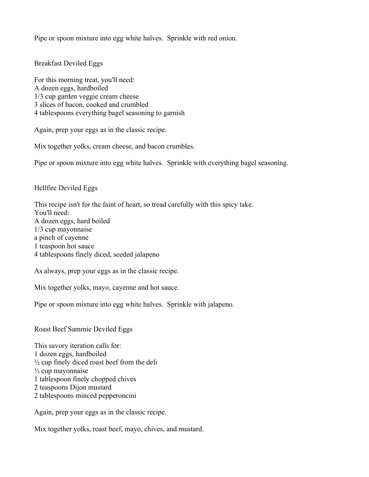Pipe or spoon mixture into egg white halves. Sprinkle with red onion.

Breakfast Deviled Eggs

For this morning treat, you'll need: A dozen eggs, hardboiled 1/3 cup garden veggie cream cheese 3 slices of bacon, cooked and crumbled 4 tablespoons everything bagel seasoning to garnish

Again, prep your eggs as in the classic recipe.

Mix together yolks, cream cheese, and bacon crumbles.

Pipe or spoon mixture into egg white halves. Sprinkle with everything bagel seasoning.

Hellfire Deviled Eggs

This recipe isn't for the faint of heart, so tread carefully with this spicy take. You'll need: A dozen eggs, hard boiled 1/3 cup mayonnaise a pinch of cayenne 1 teaspoon hot sauce 4 tablespoons finely diced, seeded jalapeno

As always, prep your eggs as in the classic recipe.

Mix together yolks, mayo, cayenne and hot sauce.

Pipe or spoon mixture into egg white halves. Sprinkle with jalapeno.

Roast Beef Sammie Deviled Eggs

This savory iteration calls for: 1 dozen eggs, hardboiled  $\frac{1}{2}$  cup finely diced roast beef from the deli  $\frac{1}{2}$  cup mayonnaise 1 tablespoon finely chopped chives 2 teaspoons Dijon mustard 2 tablespoons minced pepperoncini

Again, prep your eggs as in the classic recipe.

Mix together yolks, roast beef, mayo, chives, and mustard.